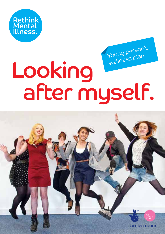

# Looking after myself. Young person<sup>'s</sup> wellness plan.

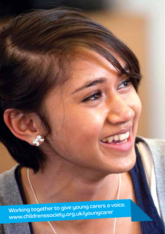Working together to give young carers a voice. www.childrenssociety.org.uk/youngcarer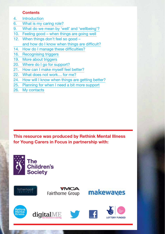#### **Contents**

- 4. Introduction
- 6. What is my caring role?
- 9. What do we mean by 'well' and 'wellbeing'?
- 10. Feeling good when things are going well
- 12. When things don't feel so good and how do I know when things are difficult?
- 14. How do I manage these difficulties?
- 16. Recognising triggers
- 19. More about triggers
- 20. Where do I go for support?
- 21. How can I make myself feel better?
- 22. What does not work… for me?
- 24. How will I know when things are getting better?
- 25. Planning for when I need a bit more support
- 26. My contacts

This resource was produced by Rethink Mental Illness for Young Carers in Focus in partnership with:

















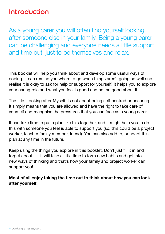#### Introduction

As a young carer you will often find yourself looking after someone else in your family. Being a young carer can be challenging and everyone needs a little support and time out, just to be themselves and relax.

This booklet will help you think about and develop some useful ways of coping. It can remind you where to go when things aren't going so well and realise it is okay to ask for help or support for yourself. It helps you to explore your caring role and what you feel is good and not so good about it.

The title 'Looking after Myself' is not about being self-centred or uncaring. It simply means that you are allowed and have the right to take care of yourself and recognise the pressures that you can face as a young carer.

It can take time to put a plan like this together, and it might help you to do this with someone you feel is able to support you (so, this could be a project worker, teacher family member, friend). You can also add to, or adapt this plan at any time in the future.

Keep using the things you explore in this booklet. Don't just fill it in and forget about it – it will take a little time to form new habits and get into new ways of thinking and that's how your family and project worker can support you!

Most of all enjoy taking the time out to think about how you can look after yourself.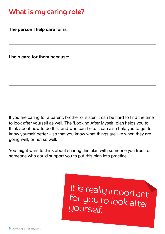# What is my caring role?

The person I help care for is:

I help care for them because:

If you are caring for a parent, brother or sister, it can be hard to find the time to look after yourself as well. The 'Looking After Myself' plan helps you to think about how to do this, and who can help. It can also help you to get to know yourself better – so that you know what things are like when they are going well, or not so well.

You might want to think about sharing this plan with someone you trust, or someone who could support you to put this plan into practice.

> It is really important for you to look after yourself.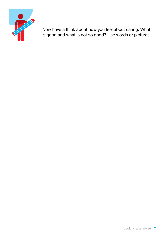

Now have a think about how you feel about caring. What is good and what is not so good? Use words or pictures.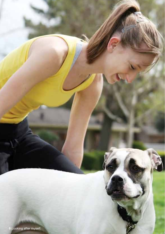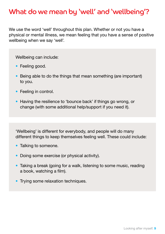## What do we mean by 'well' and 'wellbeing'?

We use the word 'well' throughout this plan. Whether or not you have a physical or mental illness, we mean feeling that you have a sense of positive wellbeing when we say 'well'.

Wellbeing can include:

- Feeling good.
- Being able to do the things that mean something (are important) to you.
- Feeling in control.
- Having the resilience to 'bounce back' if things go wrong, or change (with some additional help/support if you need it).

'Wellbeing' is different for everybody, and people will do many different things to keep themselves feeling well. These could include:

- Talking to someone.
- Doing some exercise (or physical activity).
- Taking a break (going for a walk, listening to some music, reading a book, watching a film).
- Trying some relaxation techniques.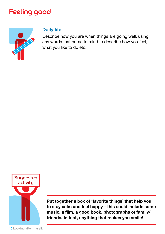# Feeling good



#### Daily life

Describe how you are when things are going well, using any words that come to mind to describe how you feel, what you like to do etc.



Put together a box of 'favorite things' that help you to stay calm and feel happy – this could include some music, a film, a good book, photographs of family/ friends. In fact, anything that makes you smile!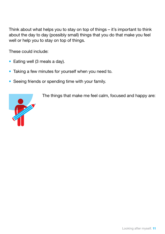Think about what helps you to stay on top of things – it's important to think about the day to day (possibly small) things that you do that make you feel well or help you to stay on top of things.

These could include:

- Eating well (3 meals a day).
- Taking a few minutes for yourself when you need to.
- Seeing friends or spending time with your family.



The things that make me feel calm, focused and happy are: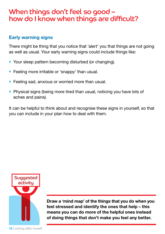#### When things don't feel so good – how do I know when things are difficult?

#### Early warning signs

There might be thing that you notice that 'alert' you that things are not going as well as usual. Your early warning signs could include things like:

- Your sleep pattern becoming disturbed (or changing).
- Feeling more irritable or 'snappy' than usual.
- Feeling sad, anxious or worried more than usual.
- Physical signs (being more tired than usual, noticing you have lots of aches and pains).

It can be helpful to think about and recognise these signs in yourself, so that you can include in your plan how to deal with them.



Draw a 'mind map' of the things that you do when you feel stressed and identify the ones that help – this means you can do more of the helpful ones instead of doing things that don't make you feel any better.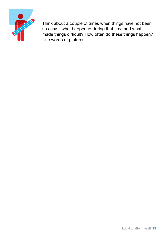

Think about a couple of times when things have not been so easy – what happened during that time and what made things difficult? How often do these things happen? Use words or pictures.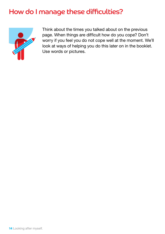## How do I manage these difficulties?



Think about the times you talked about on the previous page. When things are difficult how do you cope? Don't worry if you feel you do not cope well at the moment. We'll look at ways of helping you do this later on in the booklet. Use words or pictures.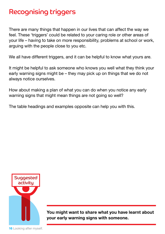### Recognising triggers

There are many things that happen in our lives that can affect the way we feel. These 'triggers' could be related to your caring role or other areas of your life – having to take on more responsibility, problems at school or work, arguing with the people close to you etc.

We all have different triggers, and it can be helpful to know what yours are.

It might be helpful to ask someone who knows you well what they think your early warning signs might be – they may pick up on things that we do not always notice ourselves.

How about making a plan of what you can do when you notice any early warning signs that might mean things are not going so well?

The table headings and examples opposite can help you with this.



You might want to share what you have learnt about your early warning signs with someone.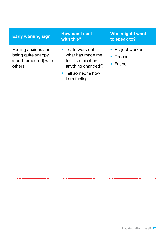| <b>Early warning sign</b>                                                    | <b>How can I deal</b><br>with this?                                                                                    | Who might I want<br>to speak to?      |
|------------------------------------------------------------------------------|------------------------------------------------------------------------------------------------------------------------|---------------------------------------|
| Feeling anxious and<br>being quite snappy<br>(short tempered) with<br>others | • Try to work out<br>what has made me<br>feel like this (has<br>anything changed?)<br>Tell someone how<br>I am feeling | • Project worker<br>Teacher<br>Friend |
|                                                                              |                                                                                                                        |                                       |
|                                                                              |                                                                                                                        |                                       |
|                                                                              |                                                                                                                        |                                       |
|                                                                              |                                                                                                                        |                                       |
|                                                                              |                                                                                                                        |                                       |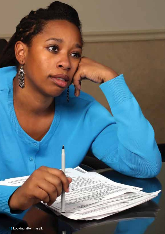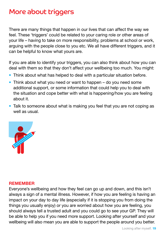#### More about triggers

There are many things that happen in our lives that can affect the way we feel. These 'triggers' could be related to your caring role or other areas of your life – having to take on more responsibility, problems at school or work, arguing with the people close to you etc. We all have different triggers, and it can be helpful to know what yours are.

If you are able to identify your triggers, you can also think about how you can deal with them so that they don't affect your wellbeing too much. You might:

- Think about what has helped to deal with a particular situation before.
- Think about what you need or want to happen do you need some additional support, or some information that could help you to deal with the situation and cope better with what is happening/how you are feeling about it.
- Talk to someone about what is making you feel that you are not coping as well as usual.



#### **REMEMBER**

Everyone's wellbeing and how they feel can go up and down, and this isn't always a sign of a mental illness. However, if how you are feeling is having an impact on your day to day life (especially if it is stopping you from doing the things you usually enjoy) or you are worried about how you are feeling, you should always tell a trusted adult and you could go to see your GP. They will be able to help you if you need more support. Looking after yourself and your wellbeing will also mean you are able to support the people around you better.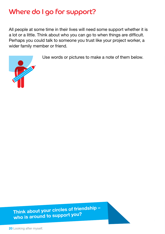## Where do I go for support?

All people at some time in their lives will need some support whether it is a lot or a little. Think about who you can go to when things are difficult. Perhaps you could talk to someone you trust like your project worker, a wider family member or friend.



Use words or pictures to make a note of them below.

Think about your circles of friendship – who is around to support you?

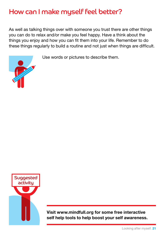#### How can I make myself feel better?

As well as talking things over with someone you trust there are other things you can do to relax and/or make you feel happy. Have a think about the things you enjoy and how you can fit them into your life. Remember to do these things regularly to build a routine and not just when things are difficult.



Use words or pictures to describe them.



Visit www.mindfull.org for some free interactive self help tools to help boost your self awareness.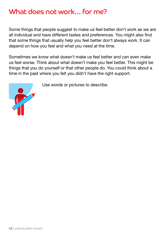#### What does not work… for me?

Some things that people suggest to make us feel better don't work as we are all individual and have different tastes and preferences. You might also find that some things that usually help you feel better don't always work. It can depend on how you feel and what you need at the time.

Sometimes we know what doesn't make us feel better and can even make us feel worse. Think about what doesn't make you feel better. This might be things that you do yourself or that other people do. You could think about a time in the past where you felt you didn't have the right support.



Use words or pictures to describe.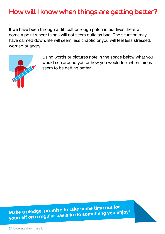#### How will I know when things are getting better?

If we have been through a difficult or rough patch in our lives there will come a point where things will not seem quite as bad. The situation may have calmed down, life will seem less chaotic or you will feel less stressed, worried or angry.



Using words or pictures note in the space below what you would see around you or how you would feel when things seem to be getting better.

Make a pledge: promise to take some time out for yourself on a regular basis to do something you enjoy!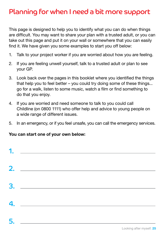## Planning for when I need a bit more support

This page is designed to help you to identify what you can do when things are difficult. You may want to share your plan with a trusted adult, or you can take out this page and put it on your wall or somewhere that you can easily find it. We have given you some examples to start you off below:

- 1. Talk to your project worker if you are worried about how you are feeling.
- 2. If you are feeling unwell yourself, talk to a trusted adult or plan to see your GP.
- 3. Look back over the pages in this booklet where you identified the things that help you to feel better – you could try doing some of these things... go for a walk, listen to some music, watch a film or find something to do that you enjoy.
- 4. If you are worried and need someone to talk to you could call Childline (on 0800 1111) who offer help and advice to young people on a wide range of different issues.
- 5. In an emergency, or if you feel unsafe, you can call the emergency services.

#### You can start one of your own below:

| 1. $\qquad \qquad$ |  |  |
|--------------------|--|--|
|                    |  |  |
|                    |  |  |
| $\overline{4.}$    |  |  |
|                    |  |  |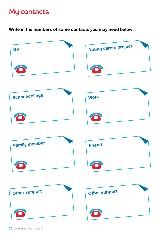#### My contacts

Write in the numbers of some contacts you may need below:

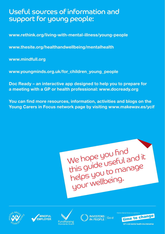#### Useful sources of information and support for young people:

www.rethink.org/living-with-mental-illness/young-people

www.thesite.org/healthandwellbeing/mentalhealth

www.mindfull.org

www.youngminds.org.uk/for\_children\_young\_people

Doc Ready – an interactive app designed to help you to prepare for a meeting with a GP or health professional: www.docready.org

You can find more resources, information, activities and blogs on the Young Carers in Focus network page by visiting www.makewav.es/ycif





**MINDFUI**